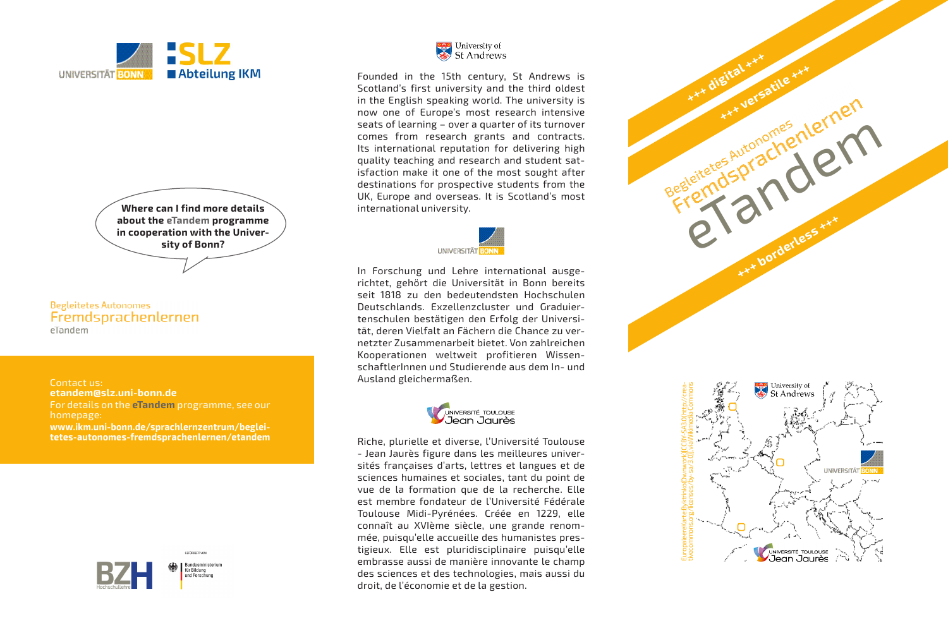

**Where can I find more details about the eTandem programme in cooperation with the University of Bonn?**

**Begleitetes Autonomes** Fremdsprachenlernen eTandem

Contact us: **etandem@slz.uni-bonn.de** For details on the **eTandem** programme, see our homepage: **www.ikm.uni-bonn.de/sprachlernzentrum/begleitetes-autonomes-fremdsprachenlernen/etandem**



GEEÖRDERT VO



Founded in the 15th century, St Andrews is Scotland's first university and the third oldest in the English speaking world. The university is now one of Europe's most research intensive seats of learning – over a quarter of its turnover comes from research grants and contracts. Its international reputation for delivering high quality teaching and research and student satisfaction make it one of the most sought after destinations for prospective students from the UK, Europe and overseas. It is Scotland's most international university.



In Forschung und Lehre international ausgerichtet, gehört die Universität in Bonn bereits seit 1818 zu den bedeutendsten Hochschulen Deutschlands. Exzellenzcluster und Graduiertenschulen bestätigen den Erfolg der Universität, deren Vielfalt an Fächern die Chance zu vernetzter Zusammenarbeit bietet. Von zahlreichen Kooperationen weltweit profitieren WissenschaftlerInnen und Studierende aus dem In- und Ausland gleichermaßen.



Riche, plurielle et diverse, l'Université Toulouse - Jean Jaurès figure dans les meilleures universités françaises d'arts, lettres et langues et de sciences humaines et sociales, tant du point de vue de la formation que de la recherche. Elle est membre fondateur de l'Université Fédérale Toulouse Midi-Pyrénées. Créée en 1229, elle connaît au XVIème siècle, une grande renommée, puisqu'elle accueille des humanistes prestigieux. Elle est pluridisciplinaire puisqu'elle embrasse aussi de manière innovante le champ des sciences et des technologies, mais aussi du droit, de l'économie et de la gestion.